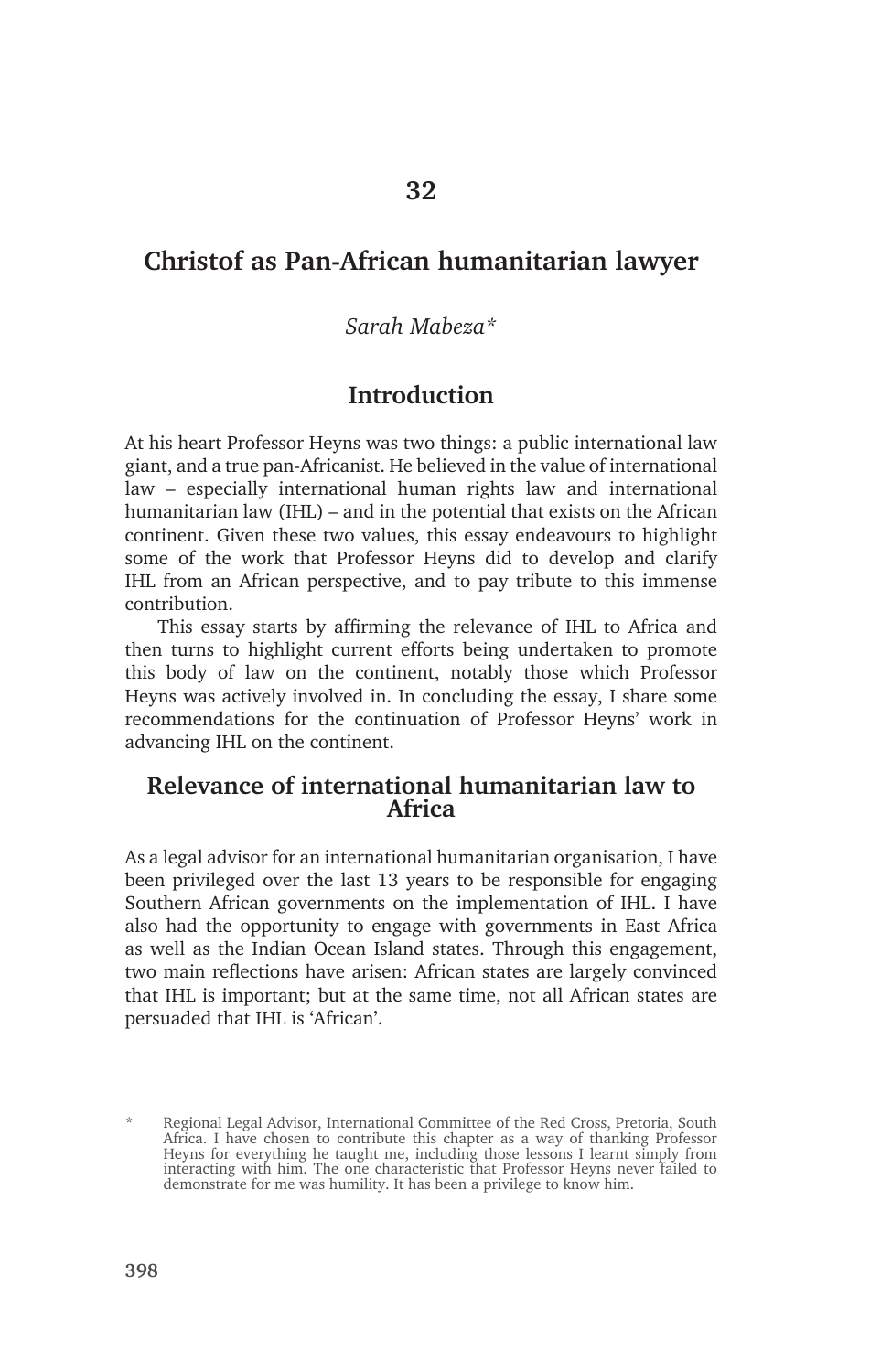# **Christof as Pan-African humanitarian lawyer**

### *Sarah Mabeza\**

## **Introduction**

At his heart Professor Heyns was two things: a public international law giant, and a true pan-Africanist. He believed in the value of international law – especially international human rights law and international humanitarian law (IHL) – and in the potential that exists on the African continent. Given these two values, this essay endeavours to highlight some of the work that Professor Heyns did to develop and clarify IHL from an African perspective, and to pay tribute to this immense contribution.

This essay starts by affirming the relevance of IHL to Africa and then turns to highlight current efforts being undertaken to promote this body of law on the continent, notably those which Professor Heyns was actively involved in. In concluding the essay, I share some recommendations for the continuation of Professor Heyns' work in advancing IHL on the continent.

## **Relevance of international humanitarian law to Africa**

As a legal advisor for an international humanitarian organisation, I have been privileged over the last 13 years to be responsible for engaging Southern African governments on the implementation of IHL. I have also had the opportunity to engage with governments in East Africa as well as the Indian Ocean Island states. Through this engagement, two main reflections have arisen: African states are largely convinced that IHL is important; but at the same time, not all African states are persuaded that IHL is 'African'.

<sup>\*</sup> Regional Legal Advisor, International Committee of the Red Cross, Pretoria, South Africa. I have chosen to contribute this chapter as a way of thanking Professor Heyns for everything he taught me, including those lessons I learnt simply from interacting with him. The one characteristic that Professor Heyns never failed to demonstrate for me was humility. It has been a privilege to know him.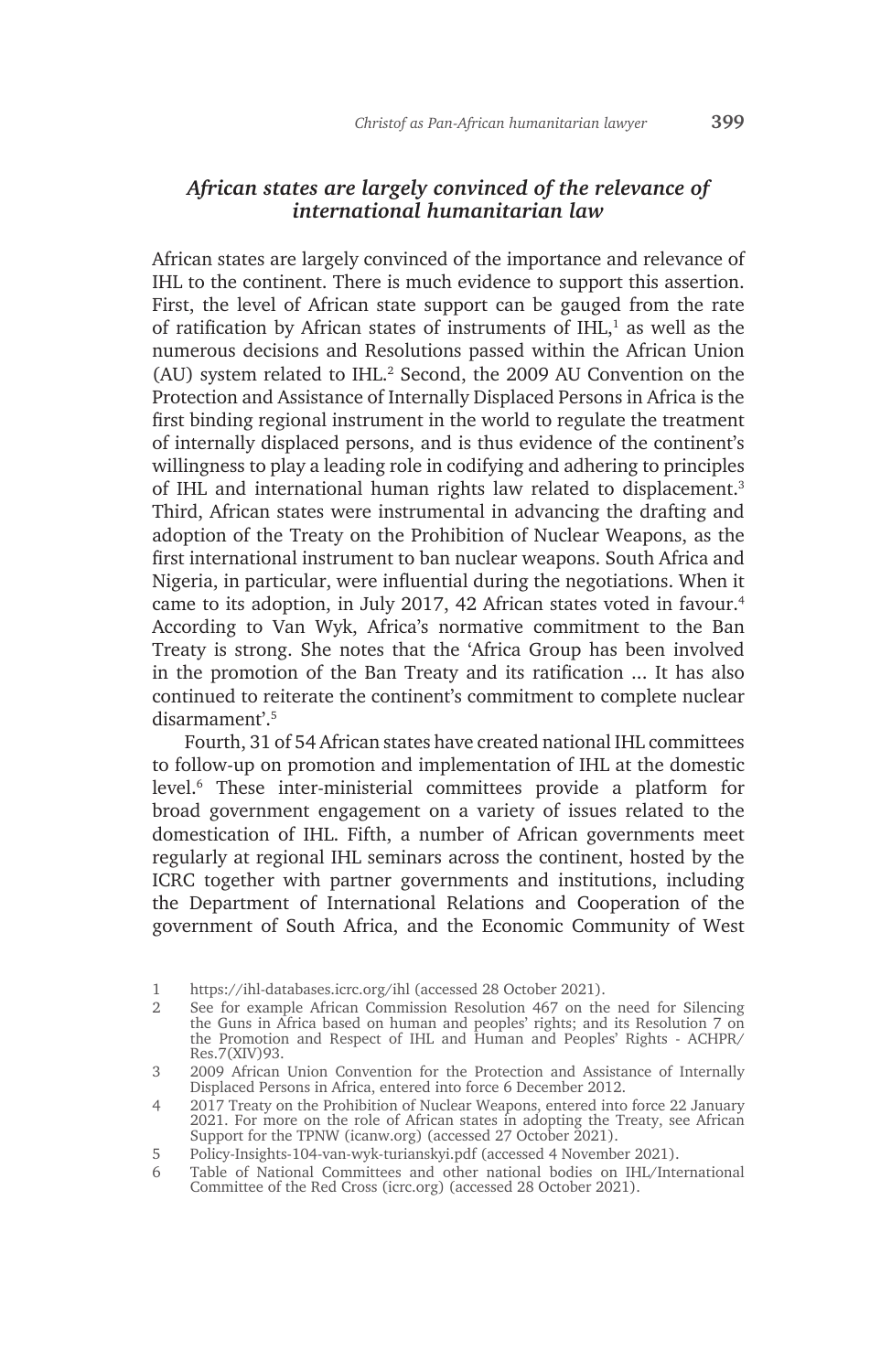#### *African states are largely convinced of the relevance of international humanitarian law*

African states are largely convinced of the importance and relevance of IHL to the continent. There is much evidence to support this assertion. First, the level of African state support can be gauged from the rate of ratification by African states of instruments of  $IHL$ ,<sup>1</sup> as well as the numerous decisions and Resolutions passed within the African Union (AU) system related to IHL.2 Second, the 2009 AU Convention on the Protection and Assistance of Internally Displaced Persons in Africa is the first binding regional instrument in the world to regulate the treatment of internally displaced persons, and is thus evidence of the continent's willingness to play a leading role in codifying and adhering to principles of IHL and international human rights law related to displacement.3 Third, African states were instrumental in advancing the drafting and adoption of the Treaty on the Prohibition of Nuclear Weapons, as the first international instrument to ban nuclear weapons. South Africa and Nigeria, in particular, were influential during the negotiations. When it came to its adoption, in July 2017, 42 African states voted in favour.<sup>4</sup> According to Van Wyk, Africa's normative commitment to the Ban Treaty is strong. She notes that the 'Africa Group has been involved in the promotion of the Ban Treaty and its ratification ... It has also continued to reiterate the continent's commitment to complete nuclear disarmament'<sup>5</sup>

Fourth, 31 of 54 African states have created national IHL committees to follow-up on promotion and implementation of IHL at the domestic level.6 These inter-ministerial committees provide a platform for broad government engagement on a variety of issues related to the domestication of IHL. Fifth, a number of African governments meet regularly at regional IHL seminars across the continent, hosted by the ICRC together with partner governments and institutions, including the Department of International Relations and Cooperation of the government of South Africa, and the Economic Community of West

<sup>1</sup> https://ihl-databases.icrc.org/ihl (accessed 28 October 2021).

<sup>2</sup> See for example African Commission Resolution 467 on the need for Silencing the Guns in Africa based on human and peoples' rights; and its Resolution 7 on the Promotion and Respect of IHL and Human and Peoples' Rights - ACHPR/ Res.7(XIV)93.

<sup>3</sup> 2009 African Union Convention for the Protection and Assistance of Internally Displaced Persons in Africa, entered into force 6 December 2012.

<sup>4</sup> 2017 Treaty on the Prohibition of Nuclear Weapons, entered into force 22 January 2021. For more on the role of African states in adopting the Treaty, see African Support for the TPNW (icanw.org) (accessed 27 October 2021).

<sup>5</sup> Policy-Insights-104-van-wyk-turianskyi.pdf (accessed 4 November 2021).

<sup>6</sup> Table of National Committees and other national bodies on IHL/International Committee of the Red Cross (icrc.org) (accessed 28 October 2021).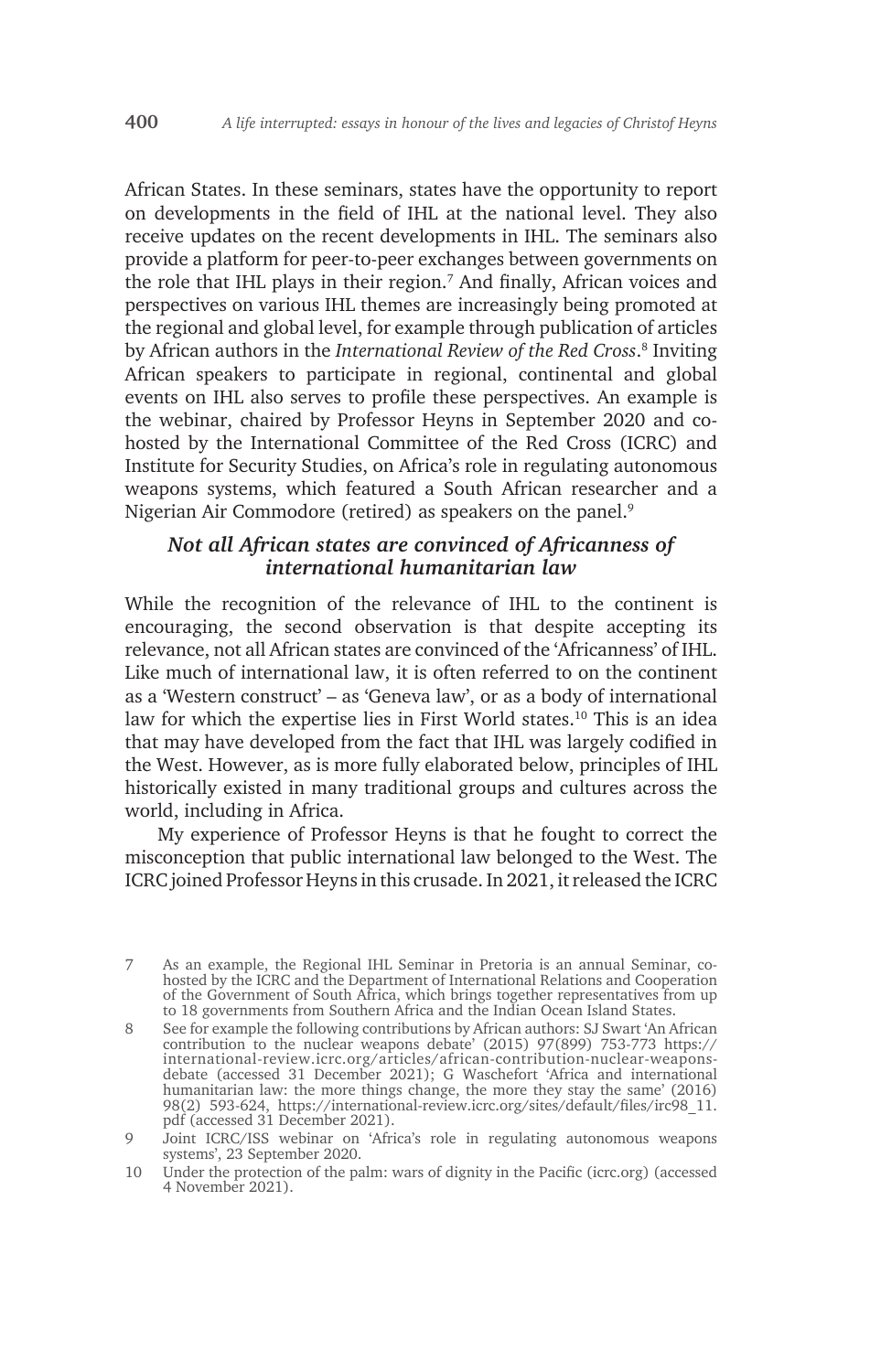African States. In these seminars, states have the opportunity to report on developments in the field of IHL at the national level. They also receive updates on the recent developments in IHL. The seminars also provide a platform for peer-to-peer exchanges between governments on the role that IHL plays in their region.7 And finally, African voices and perspectives on various IHL themes are increasingly being promoted at the regional and global level, for example through publication of articles by African authors in the *International Review of the Red Cross*. 8 Inviting African speakers to participate in regional, continental and global events on IHL also serves to profile these perspectives. An example is the webinar, chaired by Professor Heyns in September 2020 and cohosted by the International Committee of the Red Cross (ICRC) and Institute for Security Studies, on Africa's role in regulating autonomous weapons systems, which featured a South African researcher and a Nigerian Air Commodore (retired) as speakers on the panel.<sup>9</sup>

#### *Not all African states are convinced of Africanness of international humanitarian law*

While the recognition of the relevance of IHL to the continent is encouraging, the second observation is that despite accepting its relevance, not all African states are convinced of the 'Africanness' of IHL. Like much of international law, it is often referred to on the continent as a 'Western construct' – as 'Geneva law', or as a body of international law for which the expertise lies in First World states.<sup>10</sup> This is an idea that may have developed from the fact that IHL was largely codified in the West. However, as is more fully elaborated below, principles of IHL historically existed in many traditional groups and cultures across the world, including in Africa.

My experience of Professor Heyns is that he fought to correct the misconception that public international law belonged to the West. The ICRC joined Professor Heyns in this crusade. In 2021, it released the ICRC

<sup>7</sup> As an example, the Regional IHL Seminar in Pretoria is an annual Seminar, cohosted by the ICRC and the Department of International Relations and Cooperation of the Government of South Africa, which brings together representatives from up to 18 governments from Southern Africa and the Indian Ocean Island States.

<sup>8</sup> See for example the following contributions by African authors: SJ Swart 'An African contribution to the nuclear weapons debate' (2015) 97(899) 753-773 https:// international-review.icrc.org/articles/african-contribution-nuclear-weaponsdebate (accessed 31 December 2021); G Waschefort 'Africa and international humanitarian law: the more things change, the more they stay the same' (2016) 98(2) 593-624, https://international-review.icrc.org/sites/default/files/irc98\_11. pdf (accessed 31 December 2021).

<sup>9</sup> Joint ICRC/ISS webinar on 'Africa's role in regulating autonomous weapons systems', 23 September 2020.

<sup>10</sup> Under the protection of the palm: wars of dignity in the Pacific (icrc.org) (accessed 4 November 2021).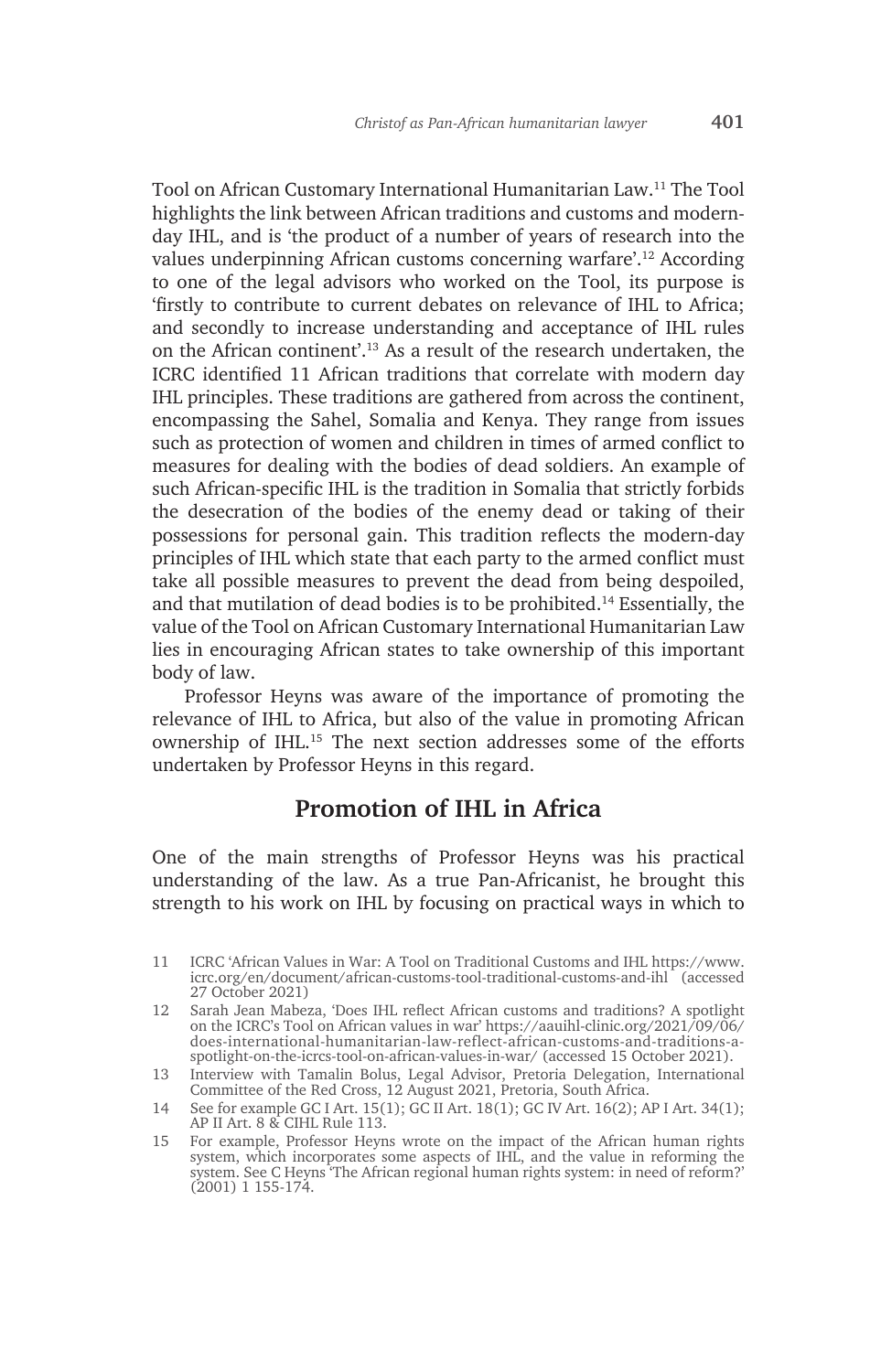Tool on African Customary International Humanitarian Law.11 The Tool highlights the link between African traditions and customs and modernday IHL, and is 'the product of a number of years of research into the values underpinning African customs concerning warfare'.12 According to one of the legal advisors who worked on the Tool, its purpose is 'firstly to contribute to current debates on relevance of IHL to Africa; and secondly to increase understanding and acceptance of IHL rules on the African continent'.13 As a result of the research undertaken, the ICRC identified 11 African traditions that correlate with modern day IHL principles. These traditions are gathered from across the continent, encompassing the Sahel, Somalia and Kenya. They range from issues such as protection of women and children in times of armed conflict to measures for dealing with the bodies of dead soldiers. An example of such African-specific IHL is the tradition in Somalia that strictly forbids the desecration of the bodies of the enemy dead or taking of their possessions for personal gain. This tradition reflects the modern-day principles of IHL which state that each party to the armed conflict must take all possible measures to prevent the dead from being despoiled, and that mutilation of dead bodies is to be prohibited.14 Essentially, the value of the Tool on African Customary International Humanitarian Law lies in encouraging African states to take ownership of this important body of law.

Professor Heyns was aware of the importance of promoting the relevance of IHL to Africa, but also of the value in promoting African ownership of IHL.15 The next section addresses some of the efforts undertaken by Professor Heyns in this regard.

## **Promotion of IHL in Africa**

One of the main strengths of Professor Heyns was his practical understanding of the law. As a true Pan-Africanist, he brought this strength to his work on IHL by focusing on practical ways in which to

<sup>11</sup> ICRC 'African Values in War: A Tool on Traditional Customs and IHL https://www. icrc.org/en/document/african-customs-tool-traditional-customs-and-ihl (accessed 27 October 2021)

<sup>12</sup> Sarah Jean Mabeza, 'Does IHL reflect African customs and traditions? A spotlight on the ICRC's Tool on African values in war' https://aauihl-clinic.org/2021/09/06/ does-international-humanitarian-law-reflect-african-customs-and-traditions-aspotlight-on-the-icrcs-tool-on-african-values-in-war/ (accessed 15 October 2021).

<sup>13</sup> Interview with Tamalin Bolus, Legal Advisor, Pretoria Delegation, International Committee of the Red Cross, 12 August 2021, Pretoria, South Africa.

<sup>14</sup> See for example GC I Art. 15(1); GC II Art. 18(1); GC IV Art. 16(2); AP I Art. 34(1); AP II Art. 8 & CIHL Rule 113.

<sup>15</sup> For example, Professor Heyns wrote on the impact of the African human rights system, which incorporates some aspects of IHL, and the value in reforming the system. See C Heyns 'The African regional human rights system: in need of reform?' (2001) 1 155-174.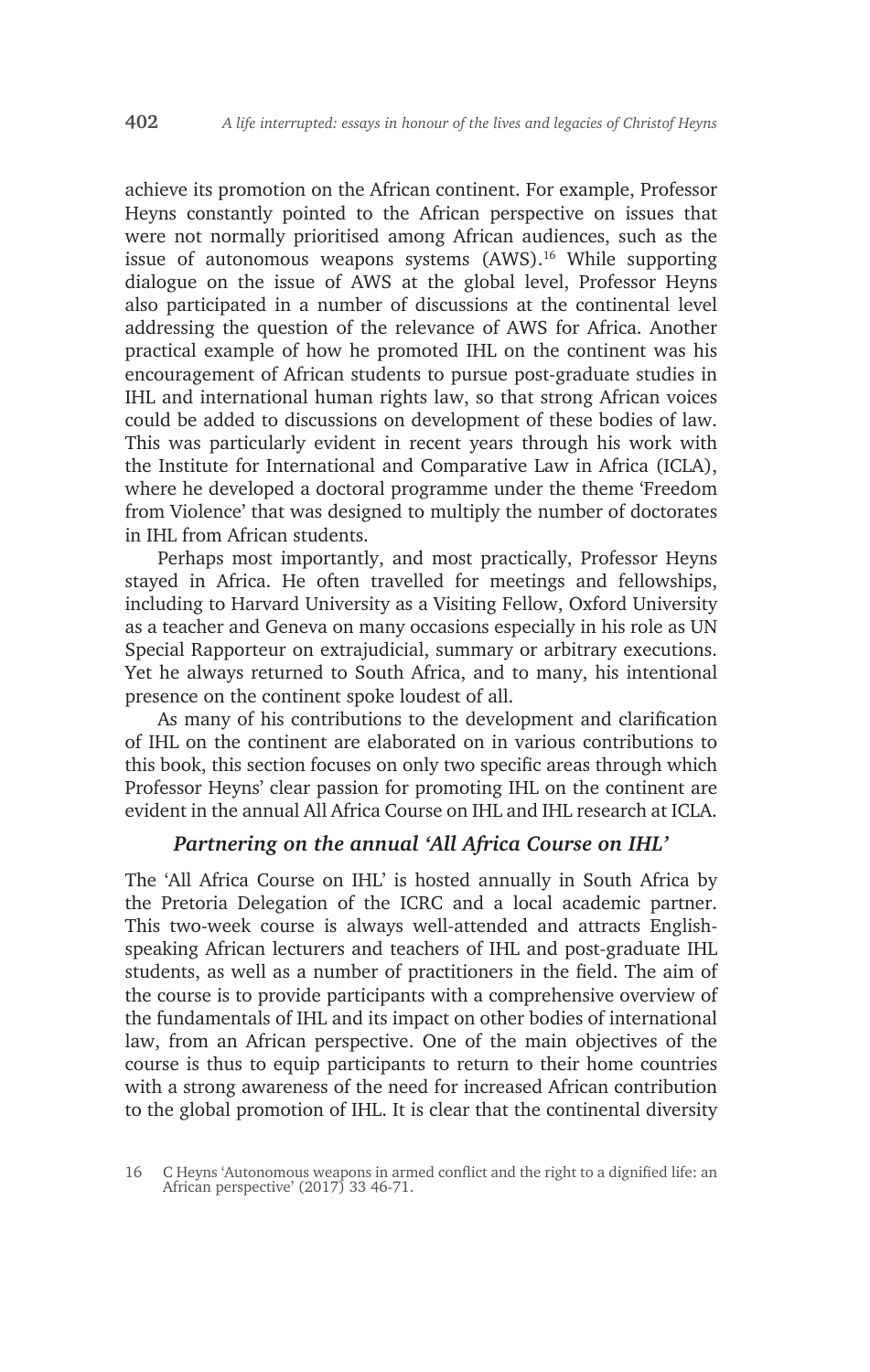achieve its promotion on the African continent. For example, Professor Heyns constantly pointed to the African perspective on issues that were not normally prioritised among African audiences, such as the issue of autonomous weapons systems (AWS).<sup>16</sup> While supporting dialogue on the issue of AWS at the global level, Professor Heyns also participated in a number of discussions at the continental level addressing the question of the relevance of AWS for Africa. Another practical example of how he promoted IHL on the continent was his encouragement of African students to pursue post-graduate studies in IHL and international human rights law, so that strong African voices could be added to discussions on development of these bodies of law. This was particularly evident in recent years through his work with the Institute for International and Comparative Law in Africa (ICLA), where he developed a doctoral programme under the theme 'Freedom from Violence' that was designed to multiply the number of doctorates in IHL from African students.

Perhaps most importantly, and most practically, Professor Heyns stayed in Africa. He often travelled for meetings and fellowships, including to Harvard University as a Visiting Fellow, Oxford University as a teacher and Geneva on many occasions especially in his role as UN Special Rapporteur on extrajudicial, summary or arbitrary executions. Yet he always returned to South Africa, and to many, his intentional presence on the continent spoke loudest of all.

As many of his contributions to the development and clarification of IHL on the continent are elaborated on in various contributions to this book, this section focuses on only two specific areas through which Professor Heyns' clear passion for promoting IHL on the continent are evident in the annual All Africa Course on IHL and IHL research at ICLA.

#### *Partnering on the annual 'All Africa Course on IHL'*

The 'All Africa Course on IHL' is hosted annually in South Africa by the Pretoria Delegation of the ICRC and a local academic partner. This two-week course is always well-attended and attracts Englishspeaking African lecturers and teachers of IHL and post-graduate IHL students, as well as a number of practitioners in the field. The aim of the course is to provide participants with a comprehensive overview of the fundamentals of IHL and its impact on other bodies of international law, from an African perspective. One of the main objectives of the course is thus to equip participants to return to their home countries with a strong awareness of the need for increased African contribution to the global promotion of IHL. It is clear that the continental diversity

<sup>16</sup> C Heyns 'Autonomous weapons in armed conflict and the right to a dignified life: an African perspective' (2017) 33 46-71.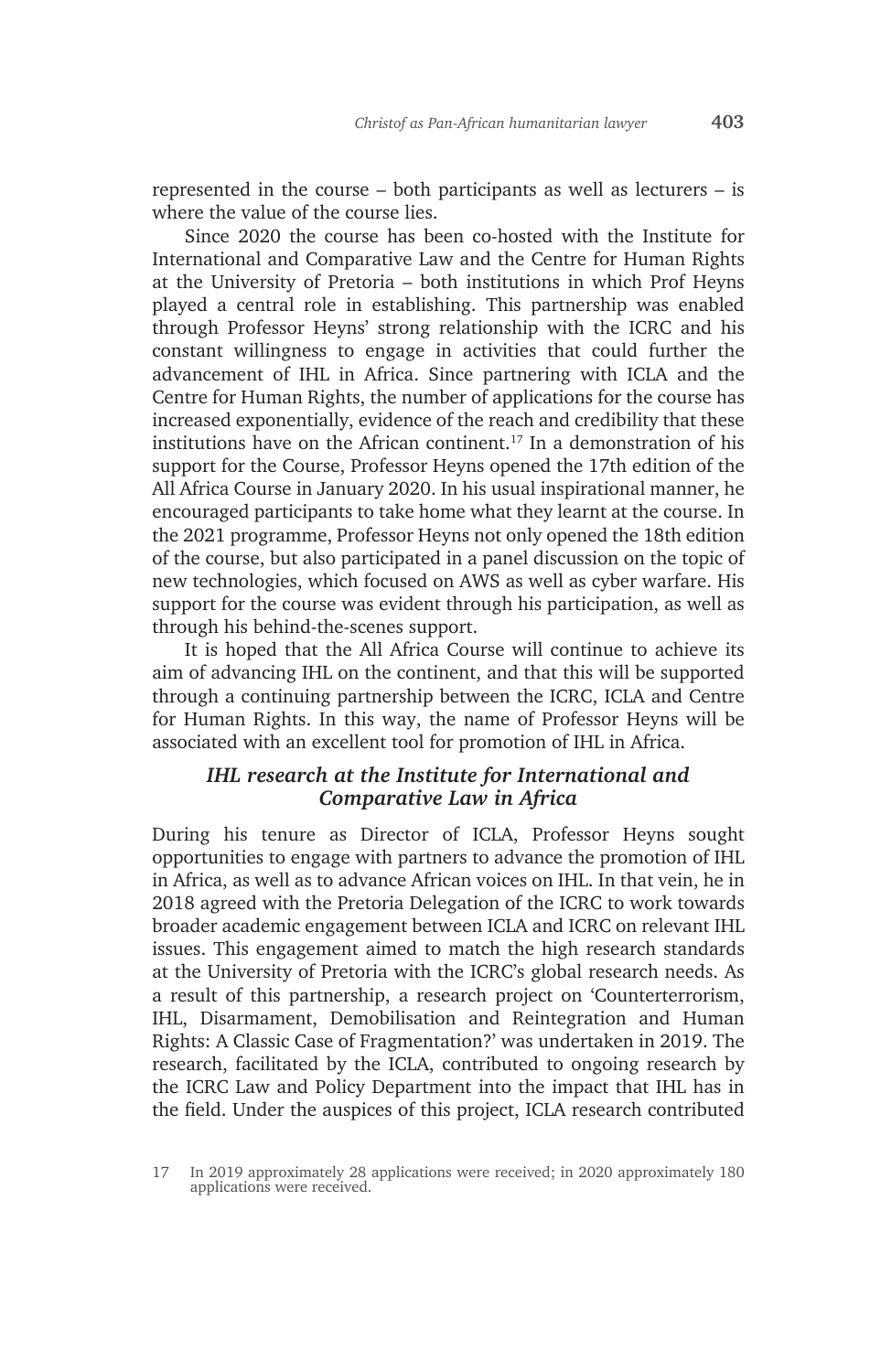represented in the course – both participants as well as lecturers – is where the value of the course lies.

Since 2020 the course has been co-hosted with the Institute for International and Comparative Law and the Centre for Human Rights at the University of Pretoria – both institutions in which Prof Heyns played a central role in establishing. This partnership was enabled through Professor Heyns' strong relationship with the ICRC and his constant willingness to engage in activities that could further the advancement of IHL in Africa. Since partnering with ICLA and the Centre for Human Rights, the number of applications for the course has increased exponentially, evidence of the reach and credibility that these institutions have on the African continent.17 In a demonstration of his support for the Course, Professor Heyns opened the 17th edition of the All Africa Course in January 2020. In his usual inspirational manner, he encouraged participants to take home what they learnt at the course. In the 2021 programme, Professor Heyns not only opened the 18th edition of the course, but also participated in a panel discussion on the topic of new technologies, which focused on AWS as well as cyber warfare. His support for the course was evident through his participation, as well as through his behind-the-scenes support.

It is hoped that the All Africa Course will continue to achieve its aim of advancing IHL on the continent, and that this will be supported through a continuing partnership between the ICRC, ICLA and Centre for Human Rights. In this way, the name of Professor Heyns will be associated with an excellent tool for promotion of IHL in Africa.

### *IHL research at the Institute for International and Comparative Law in Africa*

During his tenure as Director of ICLA, Professor Heyns sought opportunities to engage with partners to advance the promotion of IHL in Africa, as well as to advance African voices on IHL. In that vein, he in 2018 agreed with the Pretoria Delegation of the ICRC to work towards broader academic engagement between ICLA and ICRC on relevant IHL issues. This engagement aimed to match the high research standards at the University of Pretoria with the ICRC's global research needs. As a result of this partnership, a research project on 'Counterterrorism, IHL, Disarmament, Demobilisation and Reintegration and Human Rights: A Classic Case of Fragmentation?' was undertaken in 2019. The research, facilitated by the ICLA, contributed to ongoing research by the ICRC Law and Policy Department into the impact that IHL has in the field. Under the auspices of this project, ICLA research contributed

<sup>17</sup> In 2019 approximately 28 applications were received; in 2020 approximately 180 applications were received.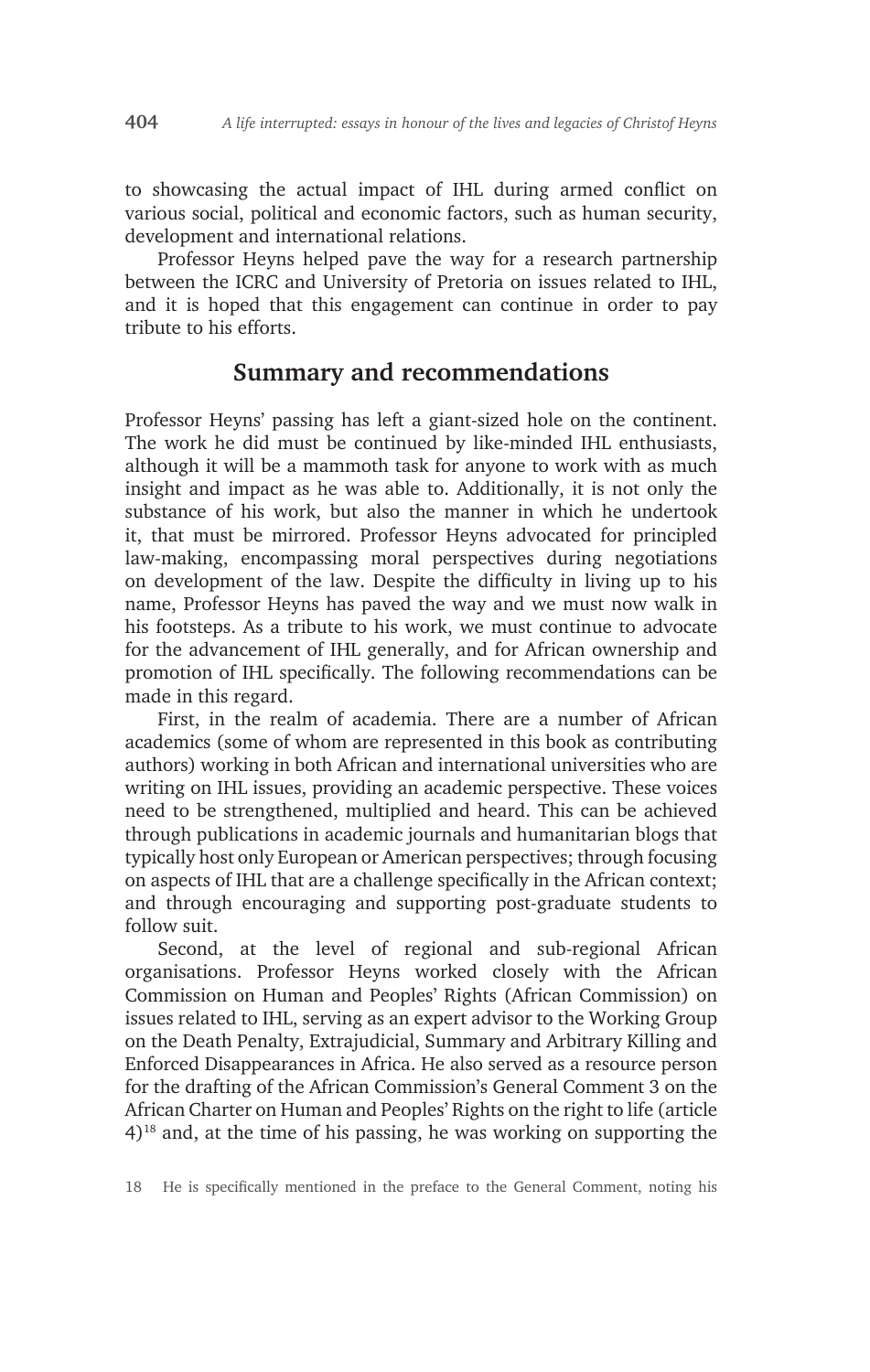to showcasing the actual impact of IHL during armed conflict on various social, political and economic factors, such as human security, development and international relations.

Professor Heyns helped pave the way for a research partnership between the ICRC and University of Pretoria on issues related to IHL, and it is hoped that this engagement can continue in order to pay tribute to his efforts.

## **Summary and recommendations**

Professor Heyns' passing has left a giant-sized hole on the continent. The work he did must be continued by like-minded IHL enthusiasts, although it will be a mammoth task for anyone to work with as much insight and impact as he was able to. Additionally, it is not only the substance of his work, but also the manner in which he undertook it, that must be mirrored. Professor Heyns advocated for principled law-making, encompassing moral perspectives during negotiations on development of the law. Despite the difficulty in living up to his name, Professor Heyns has paved the way and we must now walk in his footsteps. As a tribute to his work, we must continue to advocate for the advancement of IHL generally, and for African ownership and promotion of IHL specifically. The following recommendations can be made in this regard.

First, in the realm of academia. There are a number of African academics (some of whom are represented in this book as contributing authors) working in both African and international universities who are writing on IHL issues, providing an academic perspective. These voices need to be strengthened, multiplied and heard. This can be achieved through publications in academic journals and humanitarian blogs that typically host only European or American perspectives; through focusing on aspects of IHL that are a challenge specifically in the African context; and through encouraging and supporting post-graduate students to follow suit.

Second, at the level of regional and sub-regional African organisations. Professor Heyns worked closely with the African Commission on Human and Peoples' Rights (African Commission) on issues related to IHL, serving as an expert advisor to the Working Group on the Death Penalty, Extrajudicial, Summary and Arbitrary Killing and Enforced Disappearances in Africa. He also served as a resource person for the drafting of the African Commission's General Comment 3 on the African Charter on Human and Peoples' Rights on the right to life (article 4)18 and, at the time of his passing, he was working on supporting the

18 He is specifically mentioned in the preface to the General Comment, noting his